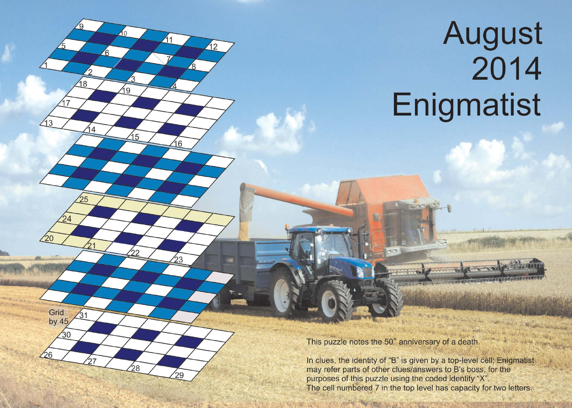## August<br>2014 Enigmatist

This puzzle notes the 50<sup>th</sup> anniversary of a death.

 $10$ 

9

 $15$ 

 $\overline{8}$ 

 $13$ 

Grid by 45

 $26$ 

30

 $\overline{41}$ 

16

23

 $\overline{42}$ 

In clues, the identity of "B" is given by a top-level cell; Enigmatist may refer parts of other clues/answers to B's boss, for the purposes of this puzzle using the coded identity "X". The cell numbered 7 in the top level has capacity for two letters.